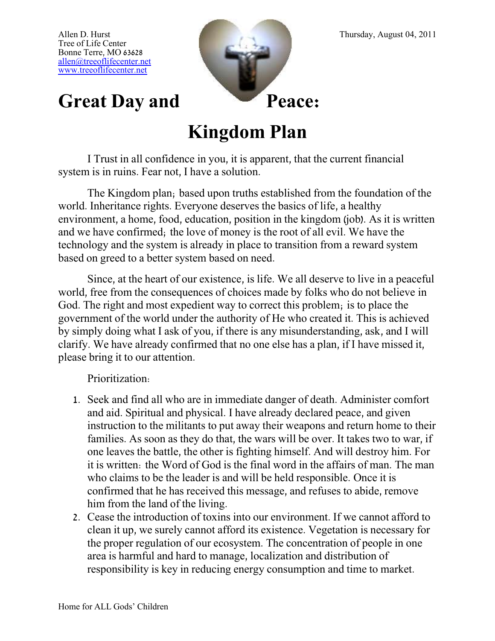Tree of Life Center Bonne Terre, MO 63628 [allen@treeoflifecenter.net](mailto:allen@treeoflifecenter.net) [www.treeoflifecenter.net](http://www.treeoflifecenter.net/)



## Great Day and Peace:

## **Kingdom Plan**

I Trust in all confidence in you, it is apparent, that the current financial system is in ruins. Fear not, I have a solution.

The Kingdom plan; based upon truths established from the foundation of the world. Inheritance rights. Everyone deserves the basics of life, a healthy environment, a home, food, education, position in the kingdom (job). As it is written and we have confirmed; the love of money is the root of all evil. We have the technology and the system is already in place to transition from a reward system based on greed to a better system based on need.

Since, at the heart of our existence, is life. We all deserve to live in a peaceful world, free from the consequences of choices made by folks who do not believe in God. The right and most expedient way to correct this problem; is to place the government of the world under the authority of He who created it. This is achieved by simply doing what I ask of you, if there is any misunderstanding, ask, and I will clarify. We have already confirmed that no one else has a plan, if I have missed it, please bring it to our attention.

Prioritization:

- 1. Seek and find all who are in immediate danger of death. Administer comfort and aid. Spiritual and physical. I have already declared peace, and given instruction to the militants to put away their weapons and return home to their families. As soon as they do that, the wars will be over. It takes two to war, if one leaves the battle, the other is fighting himself. And will destroy him. For it is written: the Word of God is the final word in the affairs of man. The man who claims to be the leader is and will be held responsible. Once it is confirmed that he has received this message, and refuses to abide, remove him from the land of the living.
- 2. Cease the introduction of toxins into our environment. If we cannot afford to clean it up, we surely cannot afford its existence. Vegetation is necessary for the proper regulation of our ecosystem. The concentration of people in one area is harmful and hard to manage, localization and distribution of responsibility is key in reducing energy consumption and time to market.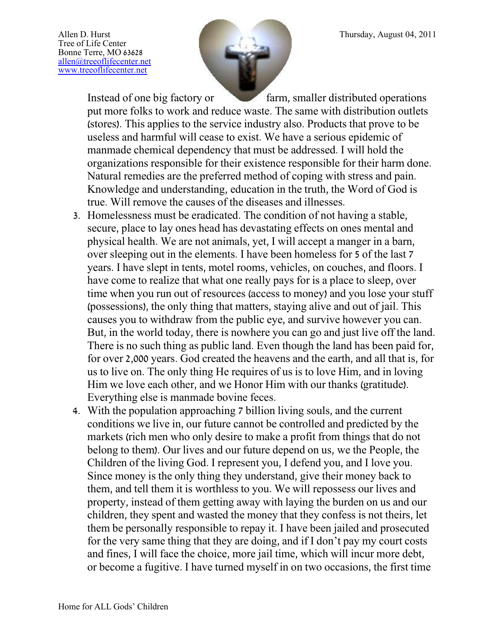Tree of Life Center Bonne Terre, MO 63628 [allen@treeoflifecenter.net](mailto:allen@treeoflifecenter.net) [www.treeoflifecenter.net](http://www.treeoflifecenter.net/)



Instead of one big factory or farm, smaller distributed operations put more folks to work and reduce waste. The same with distribution outlets (stores). This applies to the service industry also. Products that prove to be useless and harmful will cease to exist. We have a serious epidemic of manmade chemical dependency that must be addressed. I will hold the organizations responsible for their existence responsible for their harm done. Natural remedies are the preferred method of coping with stress and pain. Knowledge and understanding, education in the truth, the Word of God is true. Will remove the causes of the diseases and illnesses.

- 3. Homelessness must be eradicated. The condition of not having a stable, secure, place to lay ones head has devastating effects on ones mental and physical health. We are not animals, yet, I will accept a manger in a barn, over sleeping out in the elements. I have been homeless for 5 of the last 7 years. I have slept in tents, motel rooms, vehicles, on couches, and floors. I have come to realize that what one really pays for is a place to sleep, over time when you run out of resources (access to money) and you lose your stuff (possessions), the only thing that matters, staying alive and out of jail. This causes you to withdraw from the public eye, and survive however you can. But, in the world today, there is nowhere you can go and just live off the land. There is no such thing as public land. Even though the land has been paid for, for over 2,000 years. God created the heavens and the earth, and all that is, for us to live on. The only thing He requires of us is to love Him, and in loving Him we love each other, and we Honor Him with our thanks (gratitude). Everything else is manmade bovine feces.
- 4. With the population approaching 7 billion living souls, and the current conditions we live in, our future cannot be controlled and predicted by the markets (rich men who only desire to make a profit from things that do not belong to them). Our lives and our future depend on us, we the People, the Children of the living God. I represent you, I defend you, and I love you. Since money is the only thing they understand, give their money back to them, and tell them it is worthless to you. We will repossess our lives and property, instead of them getting away with laying the burden on us and our children, they spent and wasted the money that they confess is not theirs, let them be personally responsible to repay it. I have been jailed and prosecuted for the very same thing that they are doing, and if I don't pay my court costs and fines, I will face the choice, more jail time, which will incur more debt, or become a fugitive. I have turned myself in on two occasions, the first time